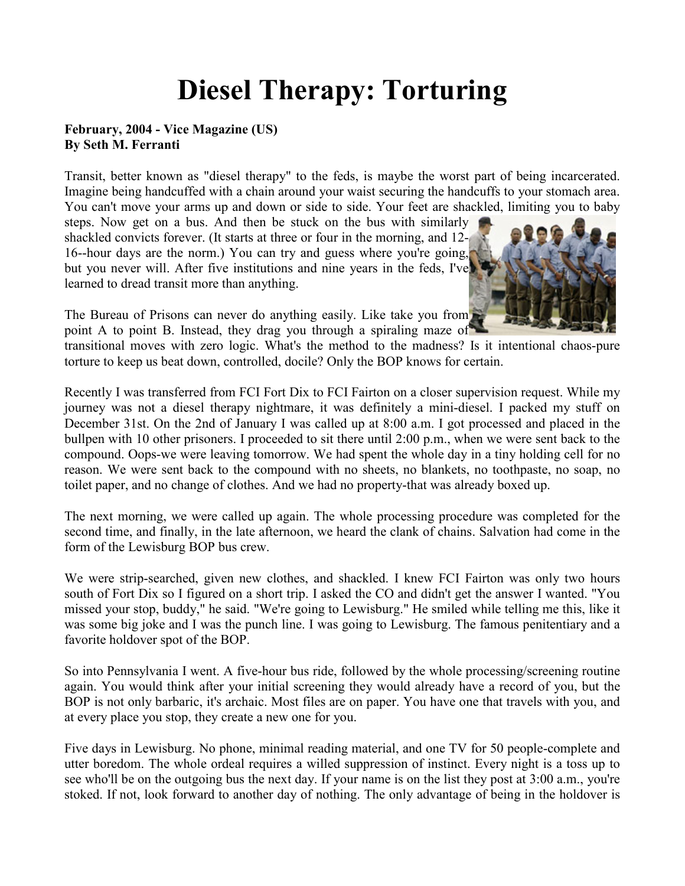## **Diesel Therapy: Torturing**

## **February, 2004 - Vice Magazine (US) By Seth M. Ferranti**

Transit, better known as "diesel therapy" to the feds, is maybe the worst part of being incarcerated. Imagine being handcuffed with a chain around your waist securing the handcuffs to your stomach area. You can't move your arms up and down or side to side. Your feet are shackled, limiting you to baby

steps. Now get on a bus. And then be stuck on the bus with similarly shackled convicts forever. (It starts at three or four in the morning, and 12- 16--hour days are the norm.) You can try and guess where you're going, but you never will. After five institutions and nine years in the feds, I've learned to dread transit more than anything.



The Bureau of Prisons can never do anything easily. Like take you from point A to point B. Instead, they drag you through a spiraling maze of

transitional moves with zero logic. What's the method to the madness? Is it intentional chaos-pure torture to keep us beat down, controlled, docile? Only the BOP knows for certain.

Recently I was transferred from FCI Fort Dix to FCI Fairton on a closer supervision request. While my journey was not a diesel therapy nightmare, it was definitely a mini-diesel. I packed my stuff on December 31st. On the 2nd of January I was called up at 8:00 a.m. I got processed and placed in the bullpen with 10 other prisoners. I proceeded to sit there until 2:00 p.m., when we were sent back to the compound. Oops-we were leaving tomorrow. We had spent the whole day in a tiny holding cell for no reason. We were sent back to the compound with no sheets, no blankets, no toothpaste, no soap, no toilet paper, and no change of clothes. And we had no property-that was already boxed up.

The next morning, we were called up again. The whole processing procedure was completed for the second time, and finally, in the late afternoon, we heard the clank of chains. Salvation had come in the form of the Lewisburg BOP bus crew.

We were strip-searched, given new clothes, and shackled. I knew FCI Fairton was only two hours south of Fort Dix so I figured on a short trip. I asked the CO and didn't get the answer I wanted. "You missed your stop, buddy," he said. "We're going to Lewisburg." He smiled while telling me this, like it was some big joke and I was the punch line. I was going to Lewisburg. The famous penitentiary and a favorite holdover spot of the BOP.

So into Pennsylvania I went. A five-hour bus ride, followed by the whole processing/screening routine again. You would think after your initial screening they would already have a record of you, but the BOP is not only barbaric, it's archaic. Most files are on paper. You have one that travels with you, and at every place you stop, they create a new one for you.

Five days in Lewisburg. No phone, minimal reading material, and one TV for 50 people-complete and utter boredom. The whole ordeal requires a willed suppression of instinct. Every night is a toss up to see who'll be on the outgoing bus the next day. If your name is on the list they post at 3:00 a.m., you're stoked. If not, look forward to another day of nothing. The only advantage of being in the holdover is